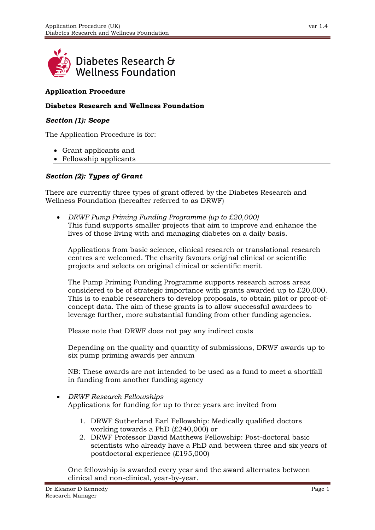

# **Application Procedure**

#### **Diabetes Research and Wellness Foundation**

#### *Section (1): Scope*

The Application Procedure is for:

- Grant applicants and
- Fellowship applicants

## *Section (2): Types of Grant*

There are currently three types of grant offered by the Diabetes Research and Wellness Foundation (hereafter referred to as DRWF)

• *DRWF Pump Priming Funding Programme (up to £20,000)* This fund supports smaller projects that aim to improve and enhance the lives of those living with and managing diabetes on a daily basis.

Applications from basic science, clinical research or translational research centres are welcomed. The charity favours original clinical or scientific projects and selects on original clinical or scientific merit.

The Pump Priming Funding Programme supports research across areas considered to be of strategic importance with grants awarded up to £20,000. This is to enable researchers to develop proposals, to obtain pilot or proof-ofconcept data. The aim of these grants is to allow successful awardees to leverage further, more substantial funding from other funding agencies.

Please note that DRWF does not pay any indirect costs

Depending on the quality and quantity of submissions, DRWF awards up to six pump priming awards per annum

NB: These awards are not intended to be used as a fund to meet a shortfall in funding from another funding agency

## • *DRWF Research Fellowships*  Applications for funding for up to three years are invited from

- 1. DRWF Sutherland Earl Fellowship: Medically qualified doctors working towards a PhD (£240,000) or
- 2. DRWF Professor David Matthews Fellowship: Post-doctoral basic scientists who already have a PhD and between three and six years of postdoctoral experience (£195,000)

One fellowship is awarded every year and the award alternates between clinical and non-clinical, year-by-year.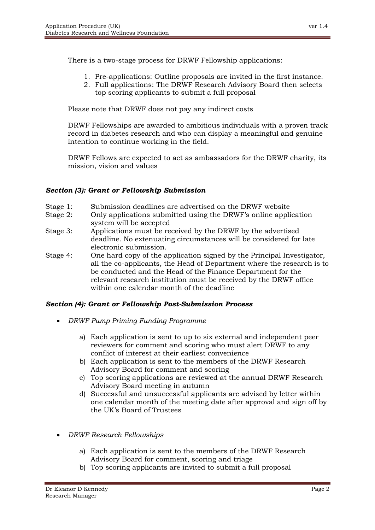There is a two-stage process for DRWF Fellowship applications:

- 1. Pre-applications: Outline proposals are invited in the first instance.
- 2. Full applications: The DRWF Research Advisory Board then selects top scoring applicants to submit a full proposal

Please note that DRWF does not pay any indirect costs

DRWF Fellowships are awarded to ambitious individuals with a proven track record in diabetes research and who can display a meaningful and genuine intention to continue working in the field.

DRWF Fellows are expected to act as ambassadors for the DRWF charity, its mission, vision and values

# *Section (3): Grant or Fellowship Submission*

- Stage 1: Submission deadlines are advertised on the DRWF website
- Stage 2: Only applications submitted using the DRWF's online application system will be accepted
- Stage 3: Applications must be received by the DRWF by the advertised deadline. No extenuating circumstances will be considered for late electronic submission.
- Stage 4: One hard copy of the application signed by the Principal Investigator, all the co-applicants, the Head of Department where the research is to be conducted and the Head of the Finance Department for the relevant research institution must be received by the DRWF office within one calendar month of the deadline

# *Section (4): Grant or Fellowship Post-Submission Process*

- *DRWF Pump Priming Funding Programme* 
	- a) Each application is sent to up to six external and independent peer reviewers for comment and scoring who must alert DRWF to any conflict of interest at their earliest convenience
	- b) Each application is sent to the members of the DRWF Research Advisory Board for comment and scoring
	- c) Top scoring applications are reviewed at the annual DRWF Research Advisory Board meeting in autumn
	- d) Successful and unsuccessful applicants are advised by letter within one calendar month of the meeting date after approval and sign off by the UK's Board of Trustees
- *DRWF Research Fellowships* 
	- a) Each application is sent to the members of the DRWF Research Advisory Board for comment, scoring and triage
	- b) Top scoring applicants are invited to submit a full proposal